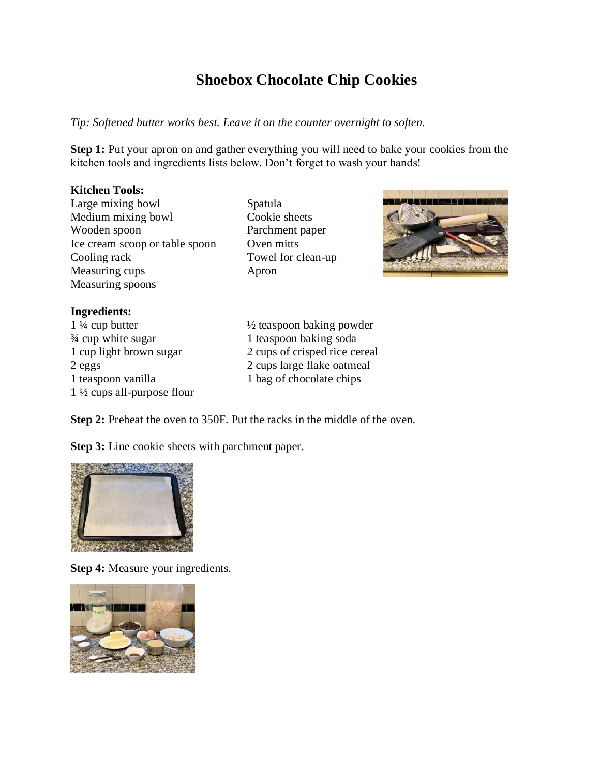## **Shoebox Chocolate Chip Cookies**

*Tip: Softened butter works best. Leave it on the counter overnight to soften.* 

**Step 1:** Put your apron on and gather everything you will need to bake your cookies from the kitchen tools and ingredients lists below. Don't forget to wash your hands!

## **Kitchen Tools:**

Large mixing bowl Spatula Medium mixing bowl Cookie sheets Wooden spoon Parchment paper Ice cream scoop or table spoon Oven mitts Cooling rack Towel for clean-up Measuring cups **Apron** Measuring spoons



## **Ingredients:**

<sup>3/4</sup> cup white sugar 1 teaspoon baking soda 1 teaspoon vanilla 1 bag of chocolate chips 1 ½ cups all-purpose flour

1 ¼ cup butter ½ teaspoon baking powder 1 cup light brown sugar 2 cups of crisped rice cereal 2 eggs 2 cups large flake oatmeal

**Step 2:** Preheat the oven to 350F. Put the racks in the middle of the oven.

**Step 3:** Line cookie sheets with parchment paper.



**Step 4:** Measure your ingredients.

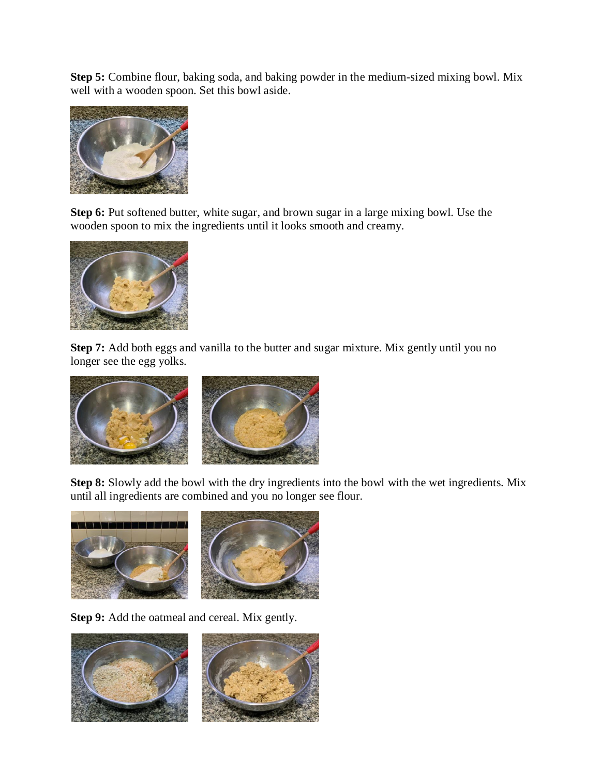**Step 5:** Combine flour, baking soda, and baking powder in the medium-sized mixing bowl. Mix well with a wooden spoon. Set this bowl aside.



**Step 6:** Put softened butter, white sugar, and brown sugar in a large mixing bowl. Use the wooden spoon to mix the ingredients until it looks smooth and creamy.



**Step 7:** Add both eggs and vanilla to the butter and sugar mixture. Mix gently until you no longer see the egg yolks.



**Step 8:** Slowly add the bowl with the dry ingredients into the bowl with the wet ingredients. Mix until all ingredients are combined and you no longer see flour.



**Step 9:** Add the oatmeal and cereal. Mix gently.